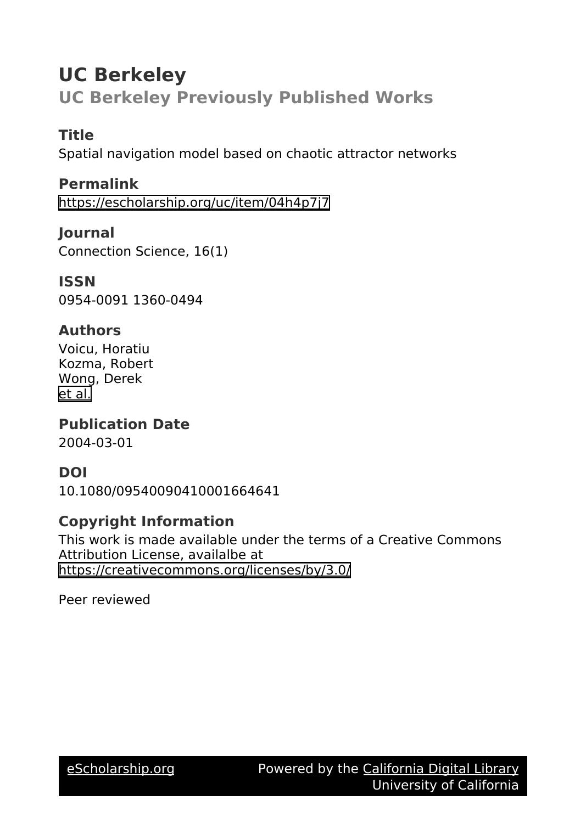# **UC Berkeley UC Berkeley Previously Published Works**

# **Title**

Spatial navigation model based on chaotic attractor networks

**Permalink** <https://escholarship.org/uc/item/04h4p7j7>

**Journal** Connection Science, 16(1)

# **ISSN**

0954-0091 1360-0494

# **Authors**

Voicu, Horatiu Kozma, Robert Wong, Derek [et al.](https://escholarship.org/uc/item/04h4p7j7#author)

# **Publication Date**

2004-03-01

# **DOI**

10.1080/09540090410001664641

# **Copyright Information**

This work is made available under the terms of a Creative Commons Attribution License, availalbe at <https://creativecommons.org/licenses/by/3.0/>

Peer reviewed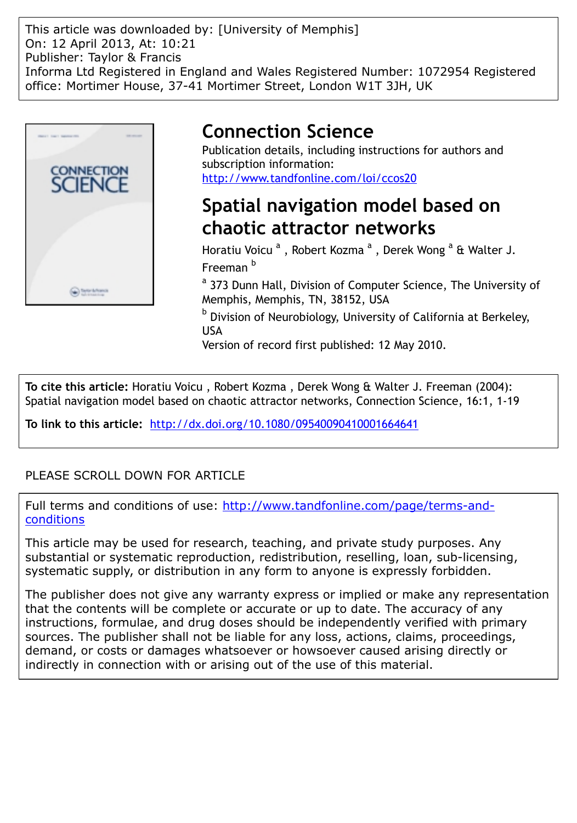This article was downloaded by: [University of Memphis] On: 12 April 2013, At: 10:21 Publisher: Taylor & Francis Informa Ltd Registered in England and Wales Registered Number: 1072954 Registered office: Mortimer House, 37-41 Mortimer Street, London W1T 3JH, UK



# **Connection Science**

Publication details, including instructions for authors and subscription information: <http://www.tandfonline.com/loi/ccos20>

# **Spatial navigation model based on chaotic attractor networks**

Horatiu Voicu <sup>a</sup> , Robert Kozma <sup>a</sup> , Derek Wong <sup>a</sup> & Walter J. Freeman<sup>b</sup>

<sup>a</sup> 373 Dunn Hall, Division of Computer Science, The University of Memphis, Memphis, TN, 38152, USA

<sup>b</sup> Division of Neurobiology, University of California at Berkeley, USA

Version of record first published: 12 May 2010.

**To cite this article:** Horatiu Voicu , Robert Kozma , Derek Wong & Walter J. Freeman (2004): Spatial navigation model based on chaotic attractor networks, Connection Science, 16:1, 1-19

**To link to this article:** <http://dx.doi.org/10.1080/09540090410001664641>

# PLEASE SCROLL DOWN FOR ARTICLE

Full terms and conditions of use: [http://www.tandfonline.com/page/terms-and](http://www.tandfonline.com/page/terms-and-conditions)[conditions](http://www.tandfonline.com/page/terms-and-conditions)

This article may be used for research, teaching, and private study purposes. Any substantial or systematic reproduction, redistribution, reselling, loan, sub-licensing, systematic supply, or distribution in any form to anyone is expressly forbidden.

The publisher does not give any warranty express or implied or make any representation that the contents will be complete or accurate or up to date. The accuracy of any instructions, formulae, and drug doses should be independently verified with primary sources. The publisher shall not be liable for any loss, actions, claims, proceedings, demand, or costs or damages whatsoever or howsoever caused arising directly or indirectly in connection with or arising out of the use of this material.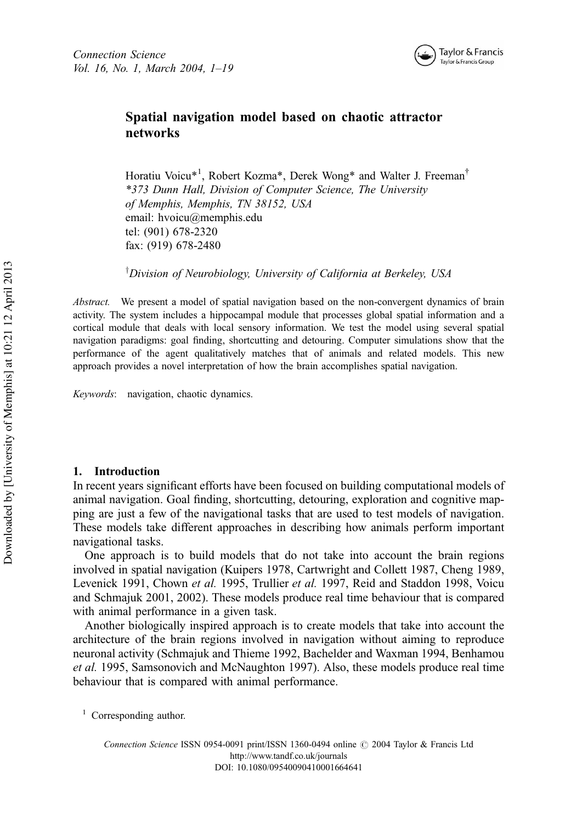

## Spatial navigation model based on chaotic attractor networks

Horatiu Voicu\*<sup>1</sup>, Robert Kozma\*, Derek Wong\* and Walter J. Freeman<sup>†</sup> \*373 Dunn Hall, Division of Computer Science, The University of Memphis, Memphis, TN 38152, USA email: hvoicu@memphis.edu tel: (901) 678-2320 fax: (919) 678-2480

<sup>†</sup>Division of Neurobiology, University of California at Berkeley, USA

Abstract. We present a model of spatial navigation based on the non-convergent dynamics of brain activity. The system includes a hippocampal module that processes global spatial information and a cortical module that deals with local sensory information. We test the model using several spatial navigation paradigms: goal finding, shortcutting and detouring. Computer simulations show that the performance of the agent qualitatively matches that of animals and related models. This new approach provides a novel interpretation of how the brain accomplishes spatial navigation.

Keywords: navigation, chaotic dynamics.

#### 1. Introduction

In recent years significant efforts have been focused on building computational models of animal navigation. Goal finding, shortcutting, detouring, exploration and cognitive mapping are just a few of the navigational tasks that are used to test models of navigation. These models take different approaches in describing how animals perform important navigational tasks.

One approach is to build models that do not take into account the brain regions involved in spatial navigation (Kuipers 1978, Cartwright and Collett 1987, Cheng 1989, Levenick 1991, Chown et al. 1995, Trullier et al. 1997, Reid and Staddon 1998, Voicu and Schmajuk 2001, 2002). These models produce real time behaviour that is compared with animal performance in a given task.

Another biologically inspired approach is to create models that take into account the architecture of the brain regions involved in navigation without aiming to reproduce neuronal activity (Schmajuk and Thieme 1992, Bachelder and Waxman 1994, Benhamou et al. 1995, Samsonovich and McNaughton 1997). Also, these models produce real time behaviour that is compared with animal performance.

 $1$  Corresponding author.

Connection Science ISSN 0954-0091 print/ISSN 1360-0494 online © 2004 Taylor & Francis Ltd http://www.tandf.co.uk/journals DOI: 10.1080/09540090410001664641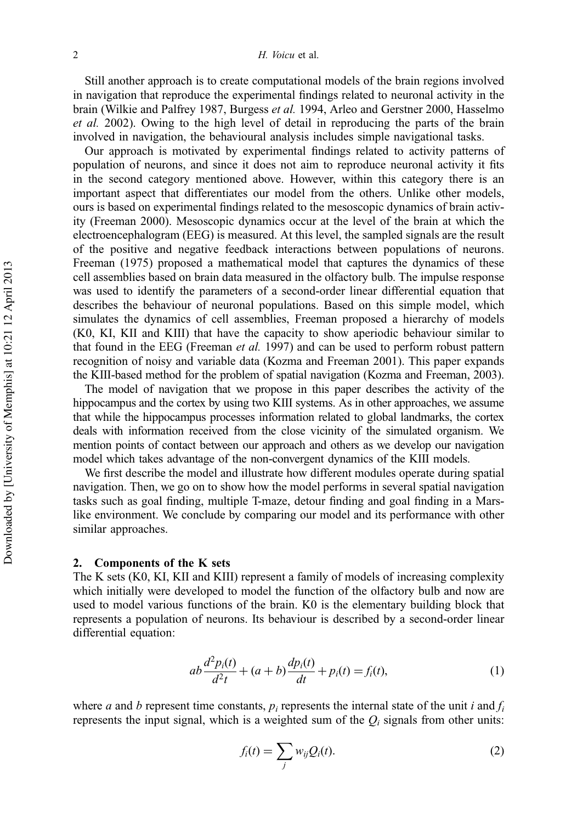Still another approach is to create computational models of the brain regions involved in navigation that reproduce the experimental findings related to neuronal activity in the brain (Wilkie and Palfrey 1987, Burgess et al. 1994, Arleo and Gerstner 2000, Hasselmo et al. 2002). Owing to the high level of detail in reproducing the parts of the brain involved in navigation, the behavioural analysis includes simple navigational tasks.

Our approach is motivated by experimental findings related to activity patterns of population of neurons, and since it does not aim to reproduce neuronal activity it fits in the second category mentioned above. However, within this category there is an important aspect that differentiates our model from the others. Unlike other models, ours is based on experimental findings related to the mesoscopic dynamics of brain activity (Freeman 2000). Mesoscopic dynamics occur at the level of the brain at which the electroencephalogram (EEG) is measured. At this level, the sampled signals are the result of the positive and negative feedback interactions between populations of neurons. Freeman (1975) proposed a mathematical model that captures the dynamics of these cell assemblies based on brain data measured in the olfactory bulb. The impulse response was used to identify the parameters of a second-order linear differential equation that describes the behaviour of neuronal populations. Based on this simple model, which simulates the dynamics of cell assemblies, Freeman proposed a hierarchy of models (K0, KI, KII and KIII) that have the capacity to show aperiodic behaviour similar to that found in the EEG (Freeman *et al.* 1997) and can be used to perform robust pattern recognition of noisy and variable data (Kozma and Freeman 2001). This paper expands the KIII-based method for the problem of spatial navigation (Kozma and Freeman, 2003).

The model of navigation that we propose in this paper describes the activity of the hippocampus and the cortex by using two KIII systems. As in other approaches, we assume that while the hippocampus processes information related to global landmarks, the cortex deals with information received from the close vicinity of the simulated organism. We mention points of contact between our approach and others as we develop our navigation model which takes advantage of the non-convergent dynamics of the KIII models.

We first describe the model and illustrate how different modules operate during spatial navigation. Then, we go on to show how the model performs in several spatial navigation tasks such as goal finding, multiple T-maze, detour finding and goal finding in a Marslike environment. We conclude by comparing our model and its performance with other similar approaches.

#### 2. Components of the K sets

The K sets (K0, KI, KII and KIII) represent a family of models of increasing complexity which initially were developed to model the function of the olfactory bulb and now are used to model various functions of the brain. K0 is the elementary building block that represents a population of neurons. Its behaviour is described by a second-order linear differential equation:

$$
ab\frac{d^2p_i(t)}{d^2t} + (a+b)\frac{dp_i(t)}{dt} + p_i(t) = f_i(t),
$$
\n(1)

where a and b represent time constants,  $p_i$  represents the internal state of the unit i and  $f_i$ represents the input signal, which is a weighted sum of the  $Q_i$  signals from other units:

$$
f_i(t) = \sum_j w_{ij} Q_i(t).
$$
 (2)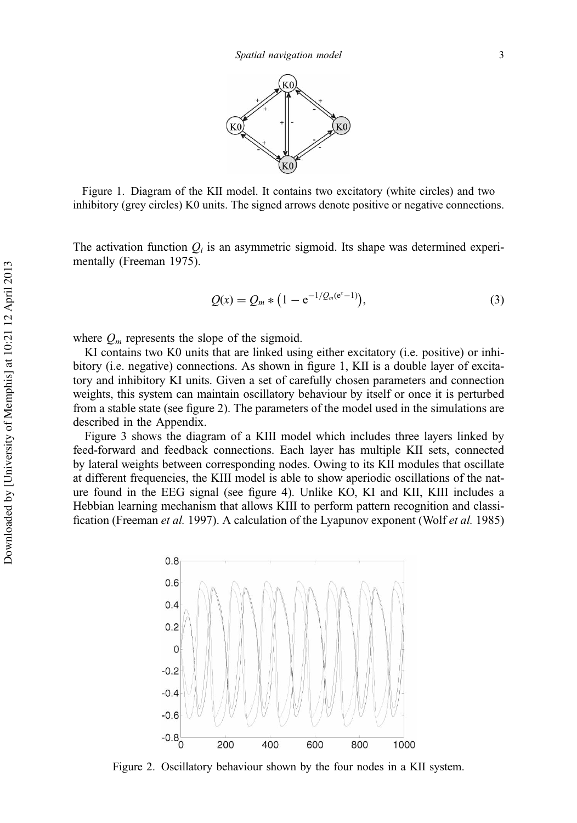

Figure 1. Diagram of the KII model. It contains two excitatory (white circles) and two inhibitory (grey circles) K0 units. The signed arrows denote positive or negative connections.

The activation function  $Q_i$  is an asymmetric sigmoid. Its shape was determined experimentally (Freeman 1975).

$$
Q(x) = Q_m * (1 - e^{-1/Q_m(e^x - 1)}),
$$
\n(3)

where  $Q_m$  represents the slope of the sigmoid.

KI contains two K0 units that are linked using either excitatory (i.e. positive) or inhibitory (i.e. negative) connections. As shown in figure 1, KII is a double layer of excitatory and inhibitory KI units. Given a set of carefully chosen parameters and connection weights, this system can maintain oscillatory behaviour by itself or once it is perturbed from a stable state (see figure 2). The parameters of the model used in the simulations are described in the Appendix.

Figure 3 shows the diagram of a KIII model which includes three layers linked by feed-forward and feedback connections. Each layer has multiple KII sets, connected by lateral weights between corresponding nodes. Owing to its KII modules that oscillate at different frequencies, the KIII model is able to show aperiodic oscillations of the nature found in the EEG signal (see figure 4). Unlike KO, KI and KII, KIII includes a Hebbian learning mechanism that allows KIII to perform pattern recognition and classification (Freeman et al. 1997). A calculation of the Lyapunov exponent (Wolf et al. 1985)



Figure 2. Oscillatory behaviour shown by the four nodes in a KII system.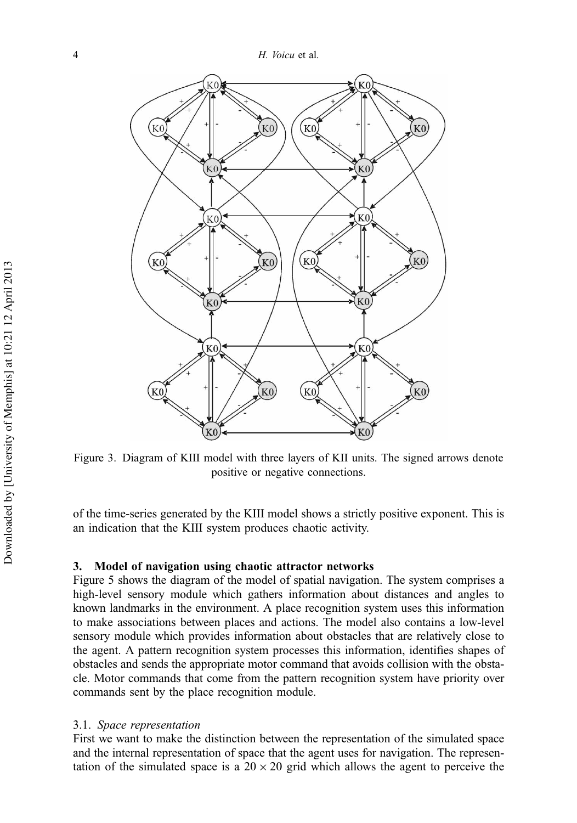

Figure 3. Diagram of KIII model with three layers of KII units. The signed arrows denote positive or negative connections.

of the time-series generated by the KIII model shows a strictly positive exponent. This is an indication that the KIII system produces chaotic activity.

### 3. Model of navigation using chaotic attractor networks

Figure 5 shows the diagram of the model of spatial navigation. The system comprises a high-level sensory module which gathers information about distances and angles to known landmarks in the environment. A place recognition system uses this information to make associations between places and actions. The model also contains a low-level sensory module which provides information about obstacles that are relatively close to the agent. A pattern recognition system processes this information, identifies shapes of obstacles and sends the appropriate motor command that avoids collision with the obstacle. Motor commands that come from the pattern recognition system have priority over commands sent by the place recognition module.

## 3.1. Space representation

First we want to make the distinction between the representation of the simulated space and the internal representation of space that the agent uses for navigation. The representation of the simulated space is a  $20 \times 20$  grid which allows the agent to perceive the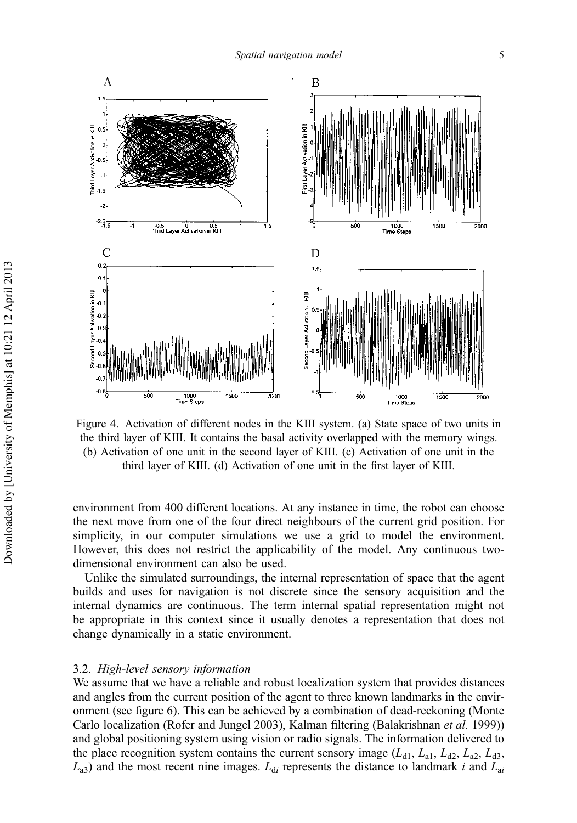

Figure 4. Activation of different nodes in the KIII system. (a) State space of two units in the third layer of KIII. It contains the basal activity overlapped with the memory wings. (b) Activation of one unit in the second layer of KIII. (c) Activation of one unit in the third layer of KIII. (d) Activation of one unit in the first layer of KIII.

environment from 400 different locations. At any instance in time, the robot can choose the next move from one of the four direct neighbours of the current grid position. For simplicity, in our computer simulations we use a grid to model the environment. However, this does not restrict the applicability of the model. Any continuous twodimensional environment can also be used.

Unlike the simulated surroundings, the internal representation of space that the agent builds and uses for navigation is not discrete since the sensory acquisition and the internal dynamics are continuous. The term internal spatial representation might not be appropriate in this context since it usually denotes a representation that does not change dynamically in a static environment.

#### 3.2. High-level sensory information

We assume that we have a reliable and robust localization system that provides distances and angles from the current position of the agent to three known landmarks in the environment (see figure 6). This can be achieved by a combination of dead-reckoning (Monte Carlo localization (Rofer and Jungel 2003), Kalman filtering (Balakrishnan et al. 1999)) and global positioning system using vision or radio signals. The information delivered to the place recognition system contains the current sensory image  $(L_{d1}, L_{a1}, L_{d2}, L_{a2}, L_{d3},$  $L_{a3}$ ) and the most recent nine images.  $L_{di}$  represents the distance to landmark i and  $L_{ai}$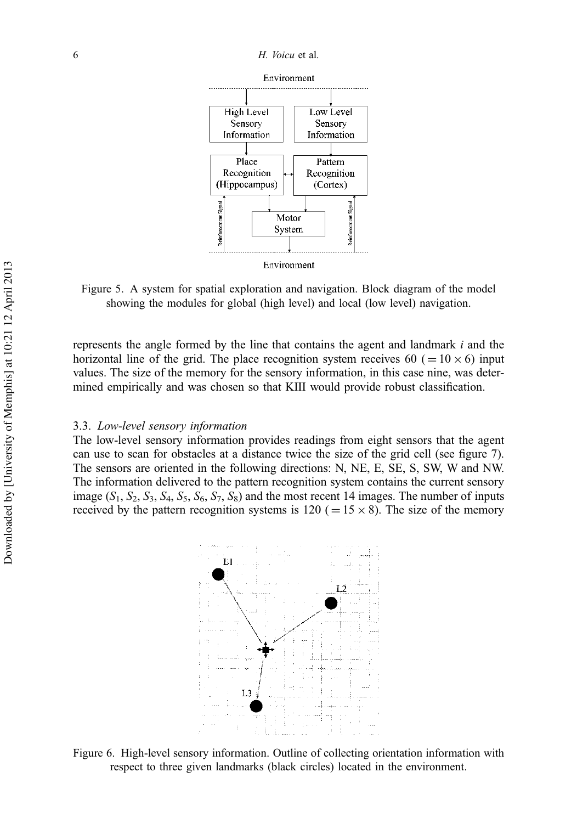

Figure 5. A system for spatial exploration and navigation. Block diagram of the model showing the modules for global (high level) and local (low level) navigation.

represents the angle formed by the line that contains the agent and landmark  $i$  and the horizontal line of the grid. The place recognition system receives 60 ( $= 10 \times 6$ ) input values. The size of the memory for the sensory information, in this case nine, was determined empirically and was chosen so that KIII would provide robust classification.

#### 3.3. Low-level sensory information

The low-level sensory information provides readings from eight sensors that the agent can use to scan for obstacles at a distance twice the size of the grid cell (see figure 7). The sensors are oriented in the following directions: N, NE, E, SE, S, SW, W and NW. The information delivered to the pattern recognition system contains the current sensory image  $(S_1, S_2, S_3, S_4, S_5, S_6, S_7, S_8)$  and the most recent 14 images. The number of inputs received by the pattern recognition systems is 120 ( $= 15 \times 8$ ). The size of the memory



Figure 6. High-level sensory information. Outline of collecting orientation information with respect to three given landmarks (black circles) located in the environment.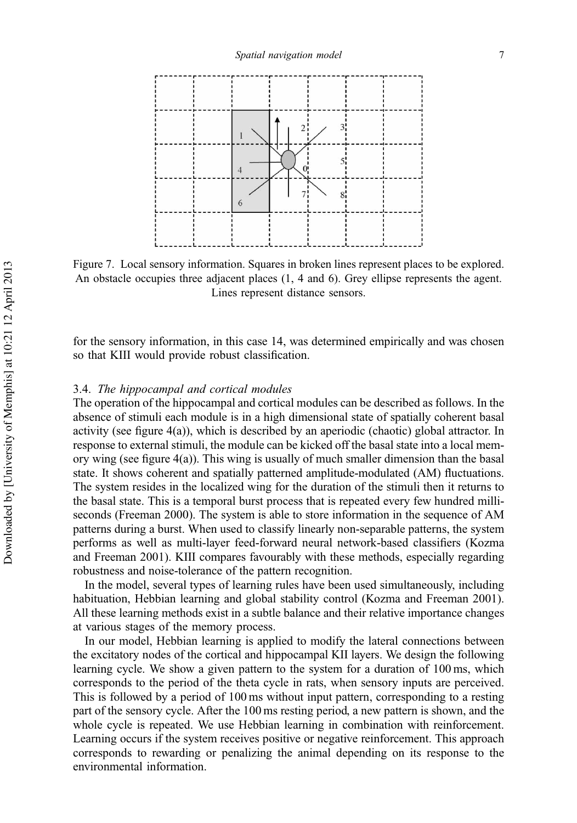

Figure 7. Local sensory information. Squares in broken lines represent places to be explored. An obstacle occupies three adjacent places (1, 4 and 6). Grey ellipse represents the agent. Lines represent distance sensors.

for the sensory information, in this case 14, was determined empirically and was chosen so that KIII would provide robust classification.

### 3.4. The hippocampal and cortical modules

The operation of the hippocampal and cortical modules can be described as follows. In the absence of stimuli each module is in a high dimensional state of spatially coherent basal activity (see figure  $4(a)$ ), which is described by an aperiodic (chaotic) global attractor. In response to external stimuli, the module can be kicked off the basal state into a local memory wing (see figure 4(a)). This wing is usually of much smaller dimension than the basal state. It shows coherent and spatially patterned amplitude-modulated (AM) fluctuations. The system resides in the localized wing for the duration of the stimuli then it returns to the basal state. This is a temporal burst process that is repeated every few hundred milliseconds (Freeman 2000). The system is able to store information in the sequence of AM patterns during a burst. When used to classify linearly non-separable patterns, the system performs as well as multi-layer feed-forward neural network-based classifiers (Kozma and Freeman 2001). KIII compares favourably with these methods, especially regarding robustness and noise-tolerance of the pattern recognition.

In the model, several types of learning rules have been used simultaneously, including habituation, Hebbian learning and global stability control (Kozma and Freeman 2001). All these learning methods exist in a subtle balance and their relative importance changes at various stages of the memory process.

In our model, Hebbian learning is applied to modify the lateral connections between the excitatory nodes of the cortical and hippocampal KII layers. We design the following learning cycle. We show a given pattern to the system for a duration of 100 ms, which corresponds to the period of the theta cycle in rats, when sensory inputs are perceived. This is followed by a period of 100 ms without input pattern, corresponding to a resting part of the sensory cycle. After the 100 ms resting period, a new pattern is shown, and the whole cycle is repeated. We use Hebbian learning in combination with reinforcement. Learning occurs if the system receives positive or negative reinforcement. This approach corresponds to rewarding or penalizing the animal depending on its response to the environmental information.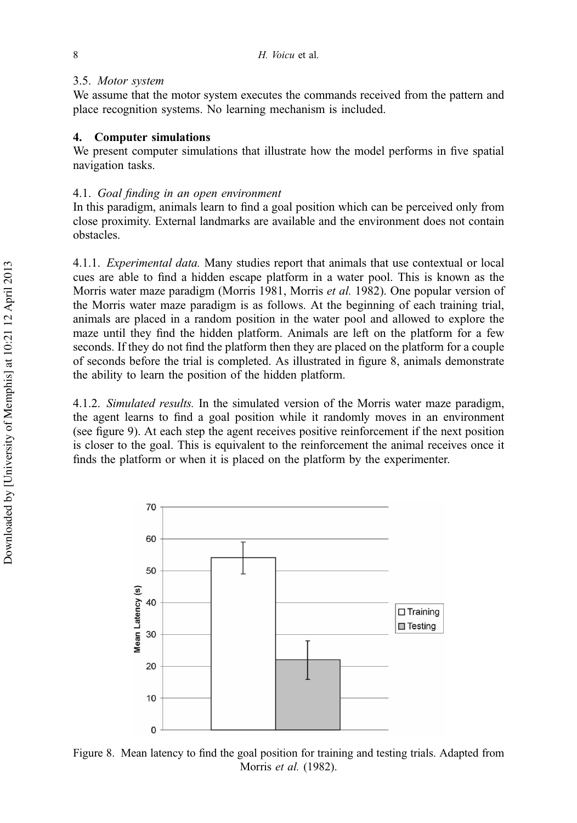### 3.5. Motor system

We assume that the motor system executes the commands received from the pattern and place recognition systems. No learning mechanism is included.

## 4. Computer simulations

We present computer simulations that illustrate how the model performs in five spatial navigation tasks.

## 4.1. Goal finding in an open environment

In this paradigm, animals learn to find a goal position which can be perceived only from close proximity. External landmarks are available and the environment does not contain obstacles.

4.1.1. Experimental data. Many studies report that animals that use contextual or local cues are able to find a hidden escape platform in a water pool. This is known as the Morris water maze paradigm (Morris 1981, Morris et al. 1982). One popular version of the Morris water maze paradigm is as follows. At the beginning of each training trial, animals are placed in a random position in the water pool and allowed to explore the maze until they find the hidden platform. Animals are left on the platform for a few seconds. If they do not find the platform then they are placed on the platform for a couple of seconds before the trial is completed. As illustrated in figure 8, animals demonstrate the ability to learn the position of the hidden platform.

4.1.2. Simulated results. In the simulated version of the Morris water maze paradigm, the agent learns to find a goal position while it randomly moves in an environment (see figure 9). At each step the agent receives positive reinforcement if the next position is closer to the goal. This is equivalent to the reinforcement the animal receives once it finds the platform or when it is placed on the platform by the experimenter.



Figure 8. Mean latency to find the goal position for training and testing trials. Adapted from Morris et al. (1982).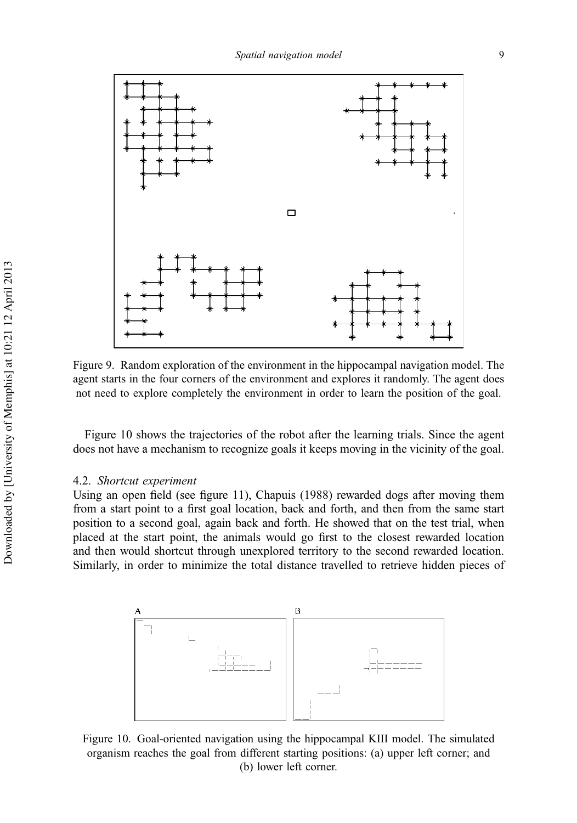

Figure 9. Random exploration of the environment in the hippocampal navigation model. The agent starts in the four corners of the environment and explores it randomly. The agent does not need to explore completely the environment in order to learn the position of the goal.

Figure 10 shows the trajectories of the robot after the learning trials. Since the agent does not have a mechanism to recognize goals it keeps moving in the vicinity of the goal.

#### 4.2. Shortcut experiment

Using an open field (see figure 11), Chapuis (1988) rewarded dogs after moving them from a start point to a first goal location, back and forth, and then from the same start position to a second goal, again back and forth. He showed that on the test trial, when placed at the start point, the animals would go first to the closest rewarded location and then would shortcut through unexplored territory to the second rewarded location. Similarly, in order to minimize the total distance travelled to retrieve hidden pieces of



Figure 10. Goal-oriented navigation using the hippocampal KIII model. The simulated organism reaches the goal from different starting positions: (a) upper left corner; and (b) lower left corner.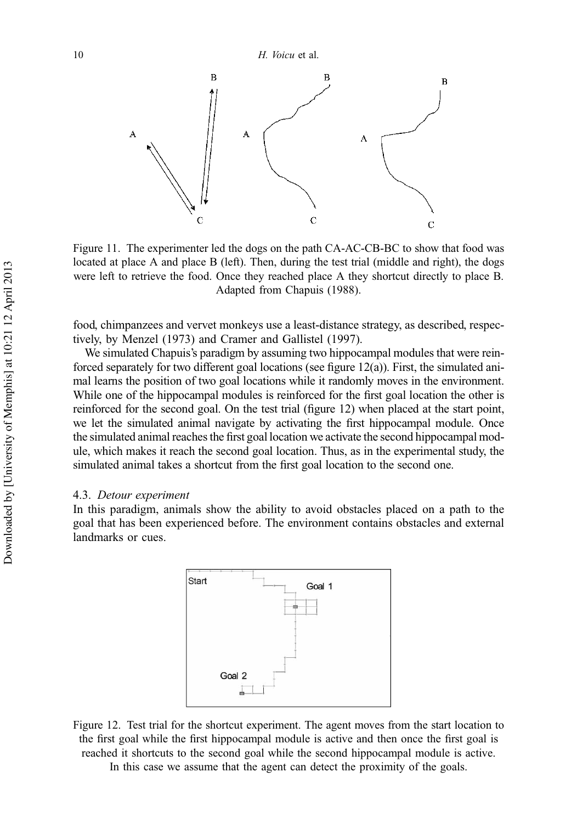10 H. Voicu et al.



Figure 11. The experimenter led the dogs on the path CA-AC-CB-BC to show that food was located at place A and place B (left). Then, during the test trial (middle and right), the dogs were left to retrieve the food. Once they reached place A they shortcut directly to place B. Adapted from Chapuis (1988).

food, chimpanzees and vervet monkeys use a least-distance strategy, as described, respectively, by Menzel (1973) and Cramer and Gallistel (1997).

We simulated Chapuis's paradigm by assuming two hippocampal modules that were reinforced separately for two different goal locations (see figure 12(a)). First, the simulated animal learns the position of two goal locations while it randomly moves in the environment. While one of the hippocampal modules is reinforced for the first goal location the other is reinforced for the second goal. On the test trial (figure 12) when placed at the start point, we let the simulated animal navigate by activating the first hippocampal module. Once the simulated animal reaches the first goal location we activate the second hippocampal module, which makes it reach the second goal location. Thus, as in the experimental study, the simulated animal takes a shortcut from the first goal location to the second one.

#### 4.3. Detour experiment

In this paradigm, animals show the ability to avoid obstacles placed on a path to the goal that has been experienced before. The environment contains obstacles and external landmarks or cues.



Figure 12. Test trial for the shortcut experiment. The agent moves from the start location to the first goal while the first hippocampal module is active and then once the first goal is reached it shortcuts to the second goal while the second hippocampal module is active. In this case we assume that the agent can detect the proximity of the goals.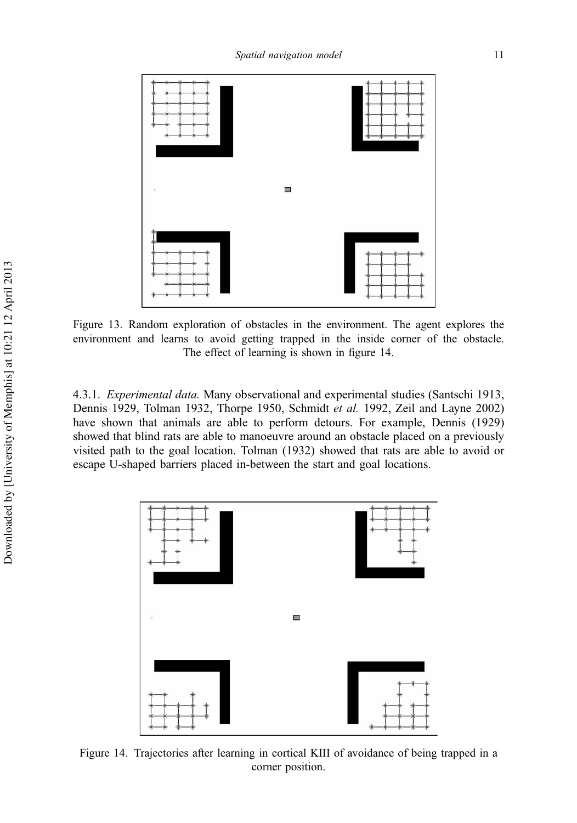

Figure 13. Random exploration of obstacles in the environment. The agent explores the environment and learns to avoid getting trapped in the inside corner of the obstacle. The effect of learning is shown in figure 14.

4.3.1. Experimental data. Many observational and experimental studies (Santschi 1913, Dennis 1929, Tolman 1932, Thorpe 1950, Schmidt et al. 1992, Zeil and Layne 2002) have shown that animals are able to perform detours. For example, Dennis (1929) showed that blind rats are able to manoeuvre around an obstacle placed on a previously visited path to the goal location. Tolman (1932) showed that rats are able to avoid or escape U-shaped barriers placed in-between the start and goal locations.



Figure 14. Trajectories after learning in cortical KIII of avoidance of being trapped in a corner position.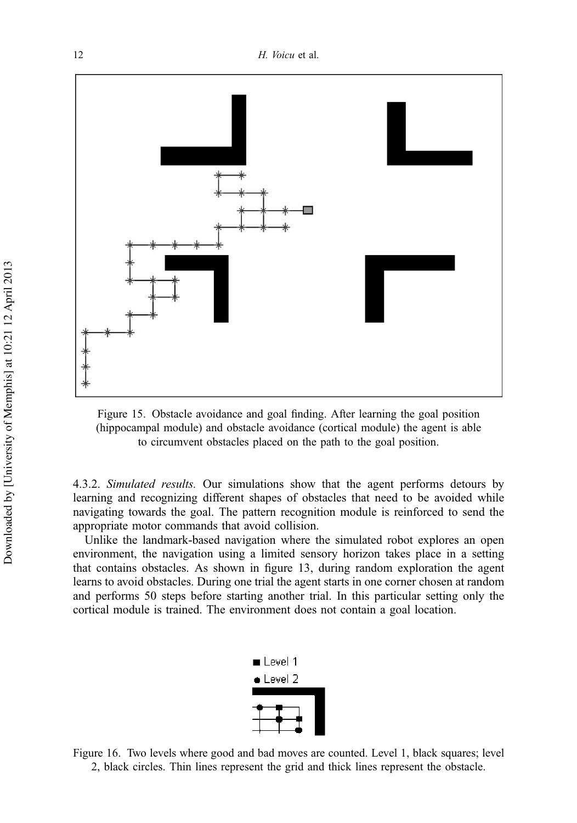

Figure 15. Obstacle avoidance and goal finding. After learning the goal position (hippocampal module) and obstacle avoidance (cortical module) the agent is able to circumvent obstacles placed on the path to the goal position.

4.3.2. Simulated results. Our simulations show that the agent performs detours by learning and recognizing different shapes of obstacles that need to be avoided while navigating towards the goal. The pattern recognition module is reinforced to send the appropriate motor commands that avoid collision.

Unlike the landmark-based navigation where the simulated robot explores an open environment, the navigation using a limited sensory horizon takes place in a setting that contains obstacles. As shown in figure 13, during random exploration the agent learns to avoid obstacles. During one trial the agent starts in one corner chosen at random and performs 50 steps before starting another trial. In this particular setting only the cortical module is trained. The environment does not contain a goal location.



Figure 16. Two levels where good and bad moves are counted. Level 1, black squares; level 2, black circles. Thin lines represent the grid and thick lines represent the obstacle.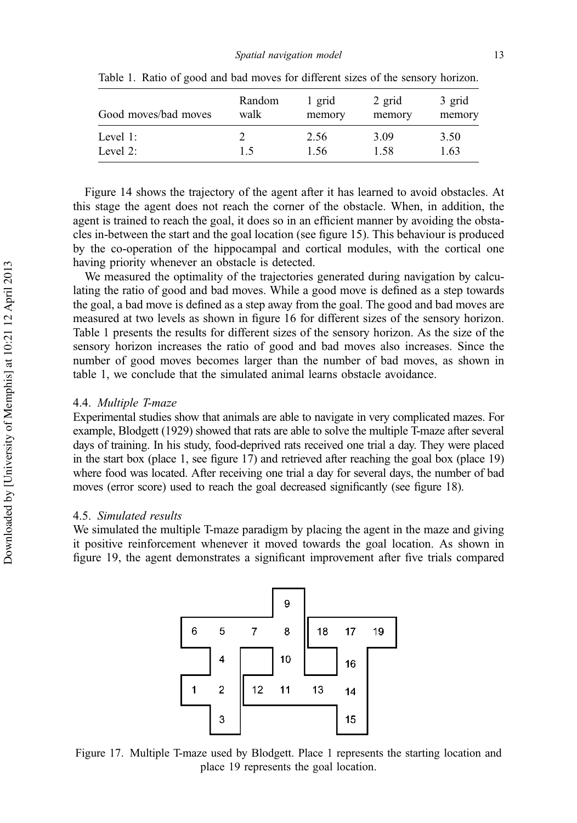| Good moves/bad moves | Random | 1 grid | 2 grid | 3 grid |
|----------------------|--------|--------|--------|--------|
|                      | walk   | memory | memory | memory |
| Level 1:             | 1.5    | 2.56   | 3.09   | 3.50   |
| Level 2:             |        | 1.56   | 1.58   | 1.63   |

Table 1. Ratio of good and bad moves for different sizes of the sensory horizon.

Figure 14 shows the trajectory of the agent after it has learned to avoid obstacles. At this stage the agent does not reach the corner of the obstacle. When, in addition, the agent is trained to reach the goal, it does so in an efficient manner by avoiding the obstacles in-between the start and the goal location (see figure 15). This behaviour is produced by the co-operation of the hippocampal and cortical modules, with the cortical one having priority whenever an obstacle is detected.

We measured the optimality of the trajectories generated during navigation by calculating the ratio of good and bad moves. While a good move is defined as a step towards the goal, a bad move is defined as a step away from the goal. The good and bad moves are measured at two levels as shown in figure 16 for different sizes of the sensory horizon. Table 1 presents the results for different sizes of the sensory horizon. As the size of the sensory horizon increases the ratio of good and bad moves also increases. Since the number of good moves becomes larger than the number of bad moves, as shown in table 1, we conclude that the simulated animal learns obstacle avoidance.

#### 4.4. Multiple T-maze

Experimental studies show that animals are able to navigate in very complicated mazes. For example, Blodgett (1929) showed that rats are able to solve the multiple T-maze after several days of training. In his study, food-deprived rats received one trial a day. They were placed in the start box (place 1, see figure 17) and retrieved after reaching the goal box (place 19) where food was located. After receiving one trial a day for several days, the number of bad moves (error score) used to reach the goal decreased significantly (see figure 18).

### 4.5. Simulated results

We simulated the multiple T-maze paradigm by placing the agent in the maze and giving it positive reinforcement whenever it moved towards the goal location. As shown in figure 19, the agent demonstrates a significant improvement after five trials compared



Figure 17. Multiple T-maze used by Blodgett. Place 1 represents the starting location and place 19 represents the goal location.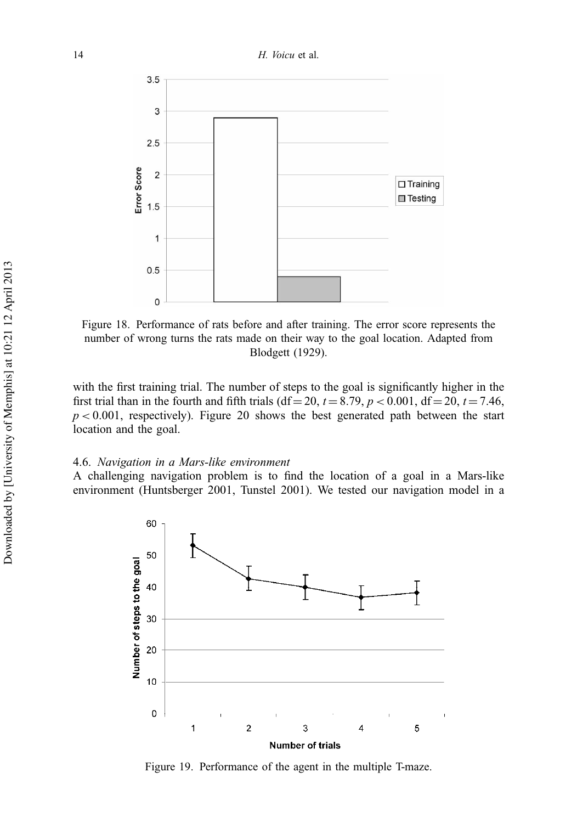

Figure 18. Performance of rats before and after training. The error score represents the number of wrong turns the rats made on their way to the goal location. Adapted from Blodgett (1929).

with the first training trial. The number of steps to the goal is significantly higher in the first trial than in the fourth and fifth trials (df = 20, t = 8.79, p < 0.001, df = 20, t = 7.46,  $p < 0.001$ , respectively). Figure 20 shows the best generated path between the start location and the goal.

### 4.6. Navigation in a Mars-like environment

A challenging navigation problem is to find the location of a goal in a Mars-like environment (Huntsberger 2001, Tunstel 2001). We tested our navigation model in a



Figure 19. Performance of the agent in the multiple T-maze.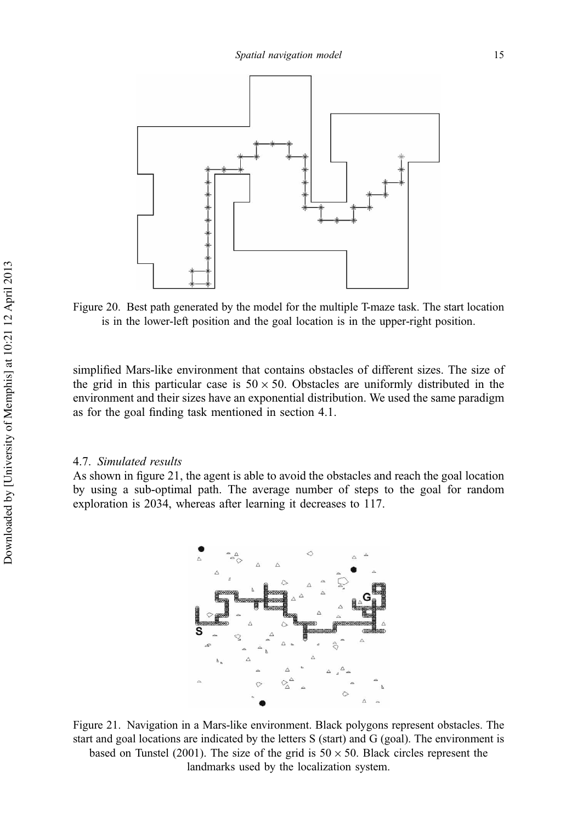

Figure 20. Best path generated by the model for the multiple T-maze task. The start location is in the lower-left position and the goal location is in the upper-right position.

simplified Mars-like environment that contains obstacles of different sizes. The size of the grid in this particular case is  $50 \times 50$ . Obstacles are uniformly distributed in the environment and their sizes have an exponential distribution. We used the same paradigm as for the goal finding task mentioned in section 4.1.

#### 4.7. Simulated results

As shown in figure 21, the agent is able to avoid the obstacles and reach the goal location by using a sub-optimal path. The average number of steps to the goal for random exploration is 2034, whereas after learning it decreases to 117.



Figure 21. Navigation in a Mars-like environment. Black polygons represent obstacles. The start and goal locations are indicated by the letters S (start) and G (goal). The environment is based on Tunstel (2001). The size of the grid is  $50 \times 50$ . Black circles represent the landmarks used by the localization system.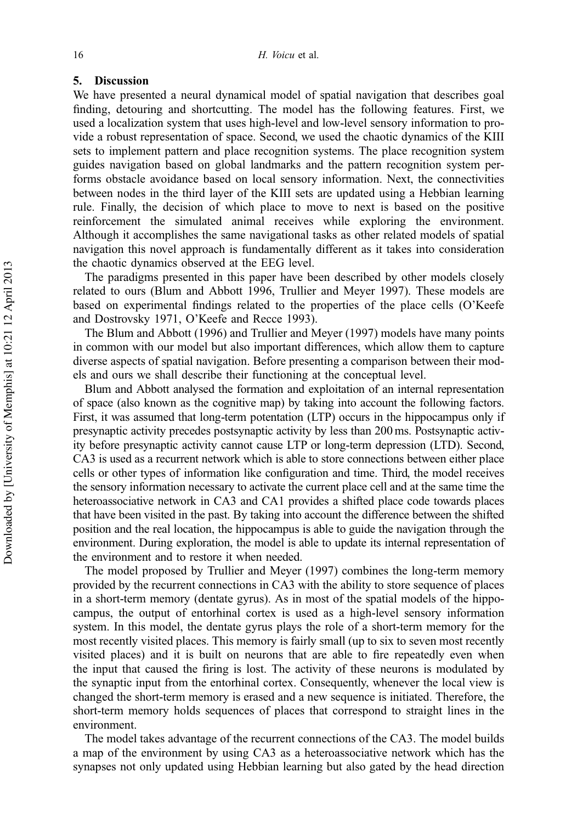### 5. Discussion

We have presented a neural dynamical model of spatial navigation that describes goal finding, detouring and shortcutting. The model has the following features. First, we used a localization system that uses high-level and low-level sensory information to provide a robust representation of space. Second, we used the chaotic dynamics of the KIII sets to implement pattern and place recognition systems. The place recognition system guides navigation based on global landmarks and the pattern recognition system performs obstacle avoidance based on local sensory information. Next, the connectivities between nodes in the third layer of the KIII sets are updated using a Hebbian learning rule. Finally, the decision of which place to move to next is based on the positive reinforcement the simulated animal receives while exploring the environment. Although it accomplishes the same navigational tasks as other related models of spatial navigation this novel approach is fundamentally different as it takes into consideration the chaotic dynamics observed at the EEG level.

The paradigms presented in this paper have been described by other models closely related to ours (Blum and Abbott 1996, Trullier and Meyer 1997). These models are based on experimental findings related to the properties of the place cells (O'Keefe and Dostrovsky 1971, O'Keefe and Recce 1993).

The Blum and Abbott (1996) and Trullier and Meyer (1997) models have many points in common with our model but also important differences, which allow them to capture diverse aspects of spatial navigation. Before presenting a comparison between their models and ours we shall describe their functioning at the conceptual level.

Blum and Abbott analysed the formation and exploitation of an internal representation of space (also known as the cognitive map) by taking into account the following factors. First, it was assumed that long-term potentation (LTP) occurs in the hippocampus only if presynaptic activity precedes postsynaptic activity by less than 200 ms. Postsynaptic activity before presynaptic activity cannot cause LTP or long-term depression (LTD). Second, CA3 is used as a recurrent network which is able to store connections between either place cells or other types of information like configuration and time. Third, the model receives the sensory information necessary to activate the current place cell and at the same time the heteroassociative network in CA3 and CA1 provides a shifted place code towards places that have been visited in the past. By taking into account the difference between the shifted position and the real location, the hippocampus is able to guide the navigation through the environment. During exploration, the model is able to update its internal representation of the environment and to restore it when needed.

The model proposed by Trullier and Meyer (1997) combines the long-term memory provided by the recurrent connections in CA3 with the ability to store sequence of places in a short-term memory (dentate gyrus). As in most of the spatial models of the hippocampus, the output of entorhinal cortex is used as a high-level sensory information system. In this model, the dentate gyrus plays the role of a short-term memory for the most recently visited places. This memory is fairly small (up to six to seven most recently visited places) and it is built on neurons that are able to fire repeatedly even when the input that caused the firing is lost. The activity of these neurons is modulated by the synaptic input from the entorhinal cortex. Consequently, whenever the local view is changed the short-term memory is erased and a new sequence is initiated. Therefore, the short-term memory holds sequences of places that correspond to straight lines in the environment.

The model takes advantage of the recurrent connections of the CA3. The model builds a map of the environment by using CA3 as a heteroassociative network which has the synapses not only updated using Hebbian learning but also gated by the head direction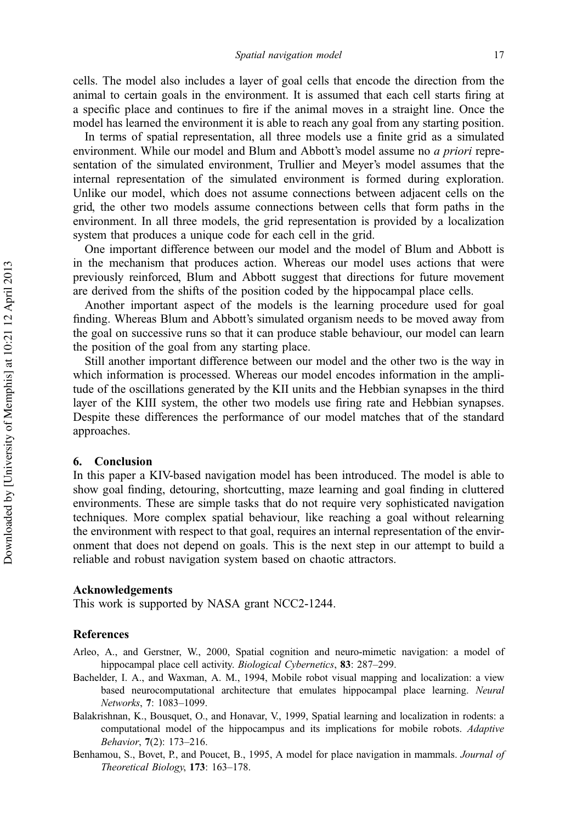Spatial navigation model 17

cells. The model also includes a layer of goal cells that encode the direction from the animal to certain goals in the environment. It is assumed that each cell starts firing at a specific place and continues to fire if the animal moves in a straight line. Once the model has learned the environment it is able to reach any goal from any starting position.

In terms of spatial representation, all three models use a finite grid as a simulated environment. While our model and Blum and Abbott's model assume no *a priori* representation of the simulated environment, Trullier and Meyer's model assumes that the internal representation of the simulated environment is formed during exploration. Unlike our model, which does not assume connections between adjacent cells on the grid, the other two models assume connections between cells that form paths in the environment. In all three models, the grid representation is provided by a localization system that produces a unique code for each cell in the grid.

One important difference between our model and the model of Blum and Abbott is in the mechanism that produces action. Whereas our model uses actions that were previously reinforced, Blum and Abbott suggest that directions for future movement are derived from the shifts of the position coded by the hippocampal place cells.

Another important aspect of the models is the learning procedure used for goal finding. Whereas Blum and Abbott's simulated organism needs to be moved away from the goal on successive runs so that it can produce stable behaviour, our model can learn the position of the goal from any starting place.

Still another important difference between our model and the other two is the way in which information is processed. Whereas our model encodes information in the amplitude of the oscillations generated by the KII units and the Hebbian synapses in the third layer of the KIII system, the other two models use firing rate and Hebbian synapses. Despite these differences the performance of our model matches that of the standard approaches.

#### 6. Conclusion

In this paper a KIV-based navigation model has been introduced. The model is able to show goal finding, detouring, shortcutting, maze learning and goal finding in cluttered environments. These are simple tasks that do not require very sophisticated navigation techniques. More complex spatial behaviour, like reaching a goal without relearning the environment with respect to that goal, requires an internal representation of the environment that does not depend on goals. This is the next step in our attempt to build a reliable and robust navigation system based on chaotic attractors.

#### Acknowledgements

This work is supported by NASA grant NCC2-1244.

#### **References**

Arleo, A., and Gerstner, W., 2000, Spatial cognition and neuro-mimetic navigation: a model of hippocampal place cell activity. *Biological Cybernetics*, 83: 287–299.

- Bachelder, I. A., and Waxman, A. M., 1994, Mobile robot visual mapping and localization: a view based neurocomputational architecture that emulates hippocampal place learning. Neural Networks, 7: 1083–1099.
- Balakrishnan, K., Bousquet, O., and Honavar, V., 1999, Spatial learning and localization in rodents: a computational model of the hippocampus and its implications for mobile robots. Adaptive Behavior, 7(2): 173–216.
- Benhamou, S., Bovet, P., and Poucet, B., 1995, A model for place navigation in mammals. Journal of Theoretical Biology, 173: 163–178.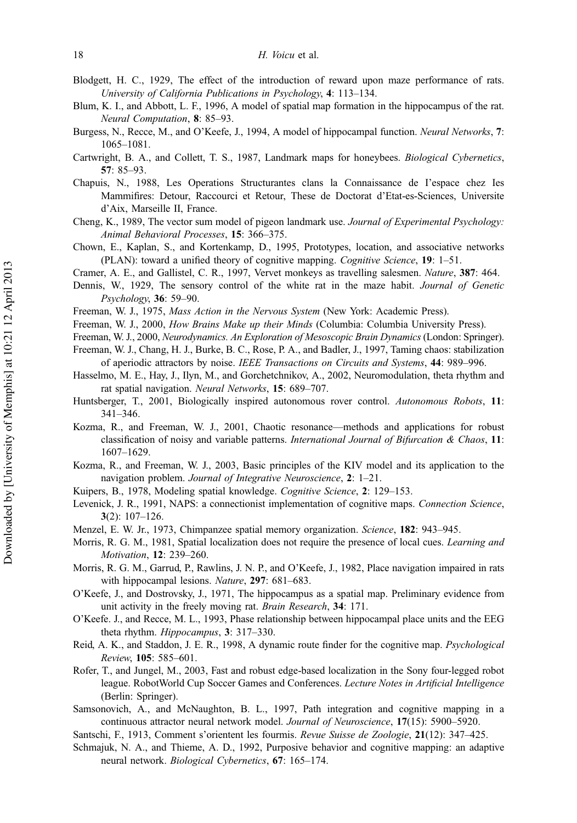- Blodgett, H. C., 1929, The effect of the introduction of reward upon maze performance of rats. University of California Publications in Psychology, 4: 113–134.
- Blum, K. I., and Abbott, L. F., 1996, A model of spatial map formation in the hippocampus of the rat. Neural Computation, 8: 85–93.
- Burgess, N., Recce, M., and O'Keefe, J., 1994, A model of hippocampal function. Neural Networks, 7: 1065–1081.
- Cartwright, B. A., and Collett, T. S., 1987, Landmark maps for honeybees. Biological Cybernetics, 57: 85–93.
- Chapuis, N., 1988, Les Operations Structurantes clans la Connaissance de I'espace chez Ies Mammifires: Detour, Raccourci et Retour, These de Doctorat d'Etat-es-Sciences, Universite d'Aix, Marseille II, France.
- Cheng, K., 1989, The vector sum model of pigeon landmark use. Journal of Experimental Psychology: Animal Behavioral Processes, 15: 366–375.
- Chown, E., Kaplan, S., and Kortenkamp, D., 1995, Prototypes, location, and associative networks (PLAN): toward a unified theory of cognitive mapping. Cognitive Science, 19: 1–51.
- Cramer, A. E., and Gallistel, C. R., 1997, Vervet monkeys as travelling salesmen. Nature, 387: 464.
- Dennis, W., 1929, The sensory control of the white rat in the maze habit. Journal of Genetic Psychology, 36: 59–90.
- Freeman, W. J., 1975, Mass Action in the Nervous System (New York: Academic Press).
- Freeman, W. J., 2000, How Brains Make up their Minds (Columbia: Columbia University Press).
- Freeman, W. J., 2000, Neurodynamics. An Exploration of Mesoscopic Brain Dynamics (London: Springer).
- Freeman, W. J., Chang, H. J., Burke, B. C., Rose, P. A., and Badler, J., 1997, Taming chaos: stabilization of aperiodic attractors by noise. IEEE Transactions on Circuits and Systems, 44: 989–996.
- Hasselmo, M. E., Hay, J., Ilyn, M., and Gorchetchnikov, A., 2002, Neuromodulation, theta rhythm and rat spatial navigation. Neural Networks, 15: 689–707.
- Huntsberger, T., 2001, Biologically inspired autonomous rover control. Autonomous Robots, 11: 341–346.
- Kozma, R., and Freeman, W. J., 2001, Chaotic resonance—methods and applications for robust classification of noisy and variable patterns. International Journal of Bifurcation & Chaos, 11: 1607–1629.
- Kozma, R., and Freeman, W. J., 2003, Basic principles of the KIV model and its application to the navigation problem. Journal of Integrative Neuroscience, 2: 1–21.
- Kuipers, B., 1978, Modeling spatial knowledge. Cognitive Science, 2: 129–153.
- Levenick, J. R., 1991, NAPS: a connectionist implementation of cognitive maps. Connection Science, 3(2): 107–126.
- Menzel, E. W. Jr., 1973, Chimpanzee spatial memory organization. Science, 182: 943–945.
- Morris, R. G. M., 1981, Spatial localization does not require the presence of local cues. *Learning and* Motivation, 12: 239–260.
- Morris, R. G. M., Garrud, P., Rawlins, J. N. P., and O'Keefe, J., 1982, Place navigation impaired in rats with hippocampal lesions. *Nature*, **297**: 681–683.
- O'Keefe, J., and Dostrovsky, J., 1971, The hippocampus as a spatial map. Preliminary evidence from unit activity in the freely moving rat. Brain Research, 34: 171.
- O'Keefe. J., and Recce, M. L., 1993, Phase relationship between hippocampal place units and the EEG theta rhythm. Hippocampus, 3: 317–330.
- Reid, A. K., and Staddon, J. E. R., 1998, A dynamic route finder for the cognitive map. Psychological Review, 105: 585–601.
- Rofer, T., and Jungel, M., 2003, Fast and robust edge-based localization in the Sony four-legged robot league. RobotWorld Cup Soccer Games and Conferences. Lecture Notes in Artificial Intelligence (Berlin: Springer).
- Samsonovich, A., and McNaughton, B. L., 1997, Path integration and cognitive mapping in a continuous attractor neural network model. Journal of Neuroscience, 17(15): 5900–5920.
- Santschi, F., 1913, Comment s'orientent les fourmis. Revue Suisse de Zoologie, 21(12): 347–425.
- Schmajuk, N. A., and Thieme, A. D., 1992, Purposive behavior and cognitive mapping: an adaptive neural network. Biological Cybernetics, 67: 165–174.